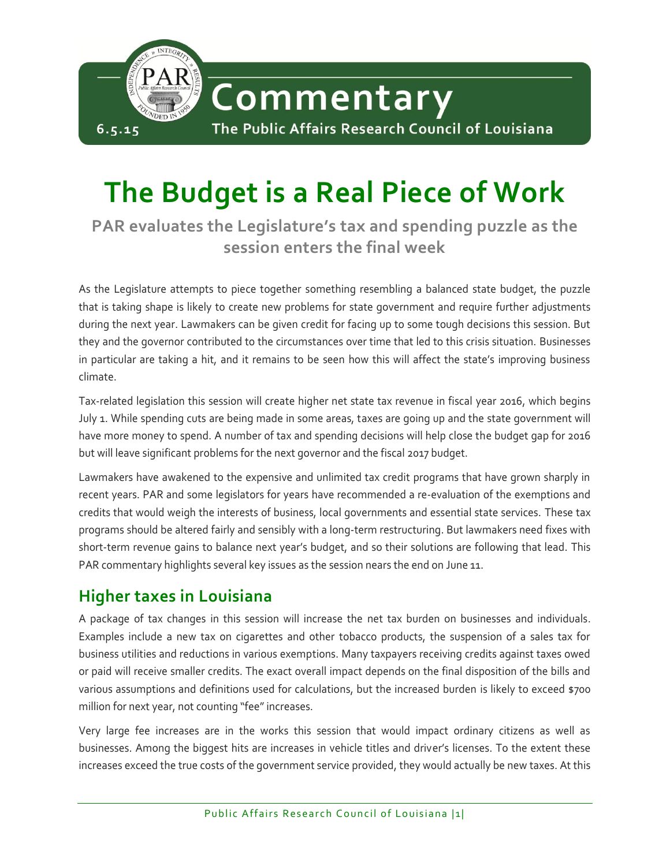

# **The Budget is a Real Piece of Work**

**PAR evaluates the Legislature's tax and spending puzzle as the session enters the final week**

As the Legislature attempts to piece together something resembling a balanced state budget, the puzzle that is taking shape is likely to create new problems for state government and require further adjustments during the next year. Lawmakers can be given credit for facing up to some tough decisions this session. But they and the governor contributed to the circumstances over time that led to this crisis situation. Businesses in particular are taking a hit, and it remains to be seen how this will affect the state's improving business climate.

Tax-related legislation this session will create higher net state tax revenue in fiscal year 2016, which begins July 1. While spending cuts are being made in some areas, taxes are going up and the state government will have more money to spend. A number of tax and spending decisions will help close the budget gap for 2016 but will leave significant problems for the next governor and the fiscal 2017 budget.

Lawmakers have awakened to the expensive and unlimited tax credit programs that have grown sharply in recent years. PAR and some legislators for years have recommended a re-evaluation of the exemptions and credits that would weigh the interests of business, local governments and essential state services. These tax programs should be altered fairly and sensibly with a long-term restructuring. But lawmakers need fixes with short-term revenue gains to balance next year's budget, and so their solutions are following that lead. This PAR commentary highlights several key issues as the session nears the end on June 11.

# **Higher taxes in Louisiana**

A package of tax changes in this session will increase the net tax burden on businesses and individuals. Examples include a new tax on cigarettes and other tobacco products, the suspension of a sales tax for business utilities and reductions in various exemptions. Many taxpayers receiving credits against taxes owed or paid will receive smaller credits. The exact overall impact depends on the final disposition of the bills and various assumptions and definitions used for calculations, but the increased burden is likely to exceed \$700 million for next year, not counting "fee" increases.

Very large fee increases are in the works this session that would impact ordinary citizens as well as businesses. Among the biggest hits are increases in vehicle titles and driver's licenses. To the extent these increases exceed the true costs of the government service provided, they would actually be new taxes. At this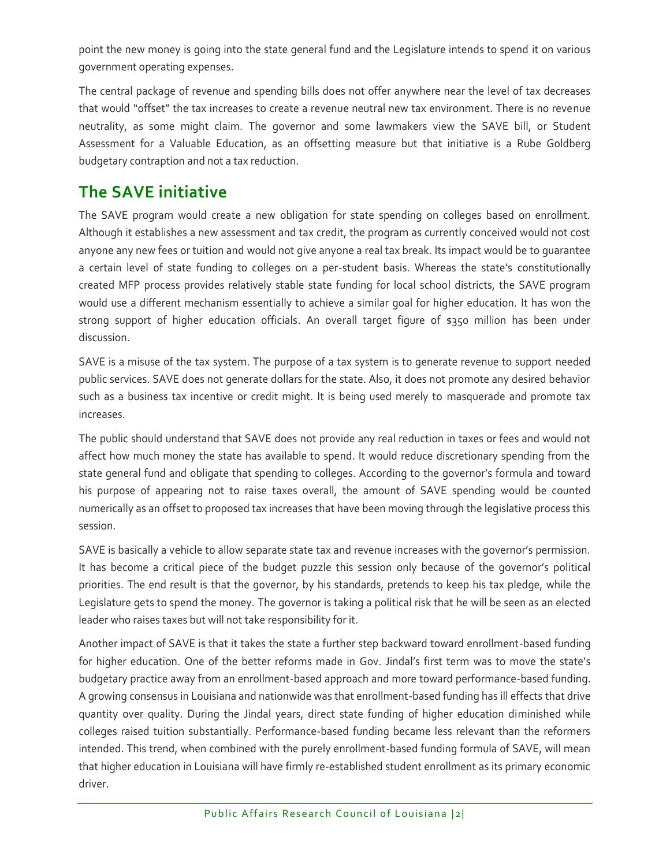point the new money is going into the state general fund and the Legislature intends to spend it on various government operating expenses.

The central package of revenue and spending bills does not offer anywhere near the level of tax decreases that would "offset" the tax increases to create a revenue neutral new tax environment. There is no revenue neutrality, as some might claim. The governor and some lawmakers view the SAVE bill, or Student Assessment for a Valuable Education, as an offsetting measure but that initiative is a Rube Goldberg budgetary contraption and not a tax reduction.

#### **The SAVE initiative**

The SAVE program would create a new obligation for state spending on colleges based on enrollment. Although it establishes a new assessment and tax credit, the program as currently conceived would not cost anyone any new fees or tuition and would not give anyone a real tax break. Its impact would be to guarantee a certain level of state funding to colleges on a per-student basis. Whereas the state's constitutionally created MFP process provides relatively stable state funding for local school districts, the SAVE program would use a different mechanism essentially to achieve a similar goal for higher education. It has won the strong support of higher education officials. An overall target figure of \$350 million has been under discussion.

SAVE is a misuse of the tax system. The purpose of a tax system is to generate revenue to support needed public services. SAVE does not generate dollars for the state. Also, it does not promote any desired behavior such as a business tax incentive or credit might. It is being used merely to masquerade and promote tax increases.

The public should understand that SAVE does not provide any real reduction in taxes or fees and would not affect how much money the state has available to spend. It would reduce discretionary spending from the state general fund and obligate that spending to colleges. According to the governor's formula and toward his purpose of appearing not to raise taxes overall, the amount of SAVE spending would be counted numerically as an offset to proposed tax increases that have been moving through the legislative process this session.

SAVE is basically a vehicle to allow separate state tax and revenue increases with the governor's permission. It has become a critical piece of the budget puzzle this session only because of the governor's political priorities. The end result is that the governor, by his standards, pretends to keep his tax pledge, while the Legislature gets to spend the money. The governor is taking a political risk that he will be seen as an elected leader who raises taxes but will not take responsibility for it.

Another impact of SAVE is that it takes the state a further step backward toward enrollment-based funding for higher education. One of the better reforms made in Gov. Jindal's first term was to move the state's budgetary practice away from an enrollment-based approach and more toward performance-based funding. A growing consensus in Louisiana and nationwide was that enrollment-based funding has ill effects that drive quantity over quality. During the Jindal years, direct state funding of higher education diminished while colleges raised tuition substantially. Performance-based funding became less relevant than the reformers intended. This trend, when combined with the purely enrollment-based funding formula of SAVE, will mean that higher education in Louisiana will have firmly re-established student enrollment as its primary economic driver.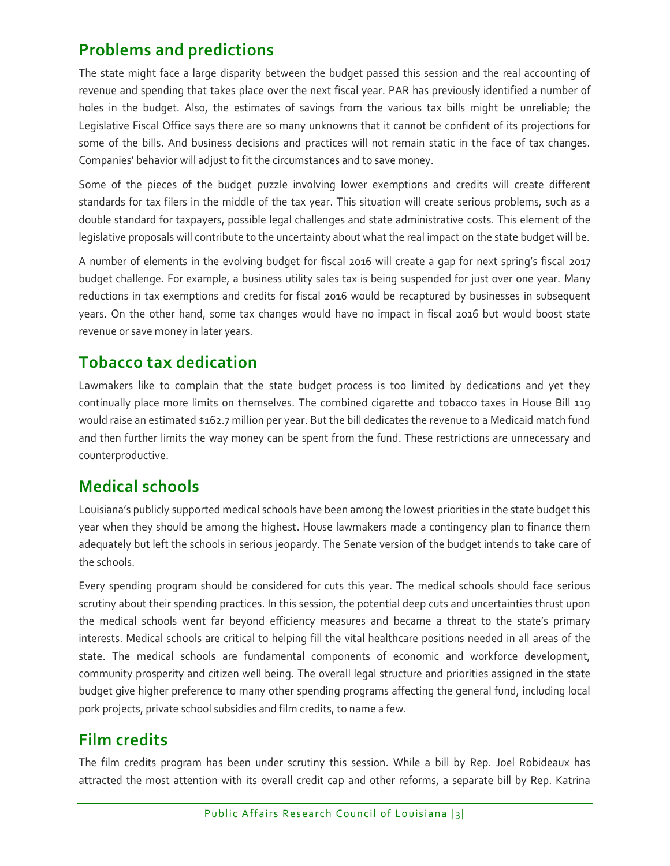# **Problems and predictions**

The state might face a large disparity between the budget passed this session and the real accounting of revenue and spending that takes place over the next fiscal year. PAR has previously identified a number of holes in the budget. Also, the estimates of savings from the various tax bills might be unreliable; the Legislative Fiscal Office says there are so many unknowns that it cannot be confident of its projections for some of the bills. And business decisions and practices will not remain static in the face of tax changes. Companies' behavior will adjust to fit the circumstances and to save money.

Some of the pieces of the budget puzzle involving lower exemptions and credits will create different standards for tax filers in the middle of the tax year. This situation will create serious problems, such as a double standard for taxpayers, possible legal challenges and state administrative costs. This element of the legislative proposals will contribute to the uncertainty about what the real impact on the state budget will be.

A number of elements in the evolving budget for fiscal 2016 will create a gap for next spring's fiscal 2017 budget challenge. For example, a business utility sales tax is being suspended for just over one year. Many reductions in tax exemptions and credits for fiscal 2016 would be recaptured by businesses in subsequent years. On the other hand, some tax changes would have no impact in fiscal 2016 but would boost state revenue or save money in later years.

#### **Tobacco tax dedication**

Lawmakers like to complain that the state budget process is too limited by dedications and yet they continually place more limits on themselves. The combined cigarette and tobacco taxes in House Bill 119 would raise an estimated \$162.7 million per year. But the bill dedicates the revenue to a Medicaid match fund and then further limits the way money can be spent from the fund. These restrictions are unnecessary and counterproductive.

#### **Medical schools**

Louisiana's publicly supported medical schools have been among the lowest priorities in the state budget this year when they should be among the highest. House lawmakers made a contingency plan to finance them adequately but left the schools in serious jeopardy. The Senate version of the budget intends to take care of the schools.

Every spending program should be considered for cuts this year. The medical schools should face serious scrutiny about their spending practices. In this session, the potential deep cuts and uncertainties thrust upon the medical schools went far beyond efficiency measures and became a threat to the state's primary interests. Medical schools are critical to helping fill the vital healthcare positions needed in all areas of the state. The medical schools are fundamental components of economic and workforce development, community prosperity and citizen well being. The overall legal structure and priorities assigned in the state budget give higher preference to many other spending programs affecting the general fund, including local pork projects, private school subsidies and film credits, to name a few.

# **Film credits**

The film credits program has been under scrutiny this session. While a bill by Rep. Joel Robideaux has attracted the most attention with its overall credit cap and other reforms, a separate bill by Rep. Katrina